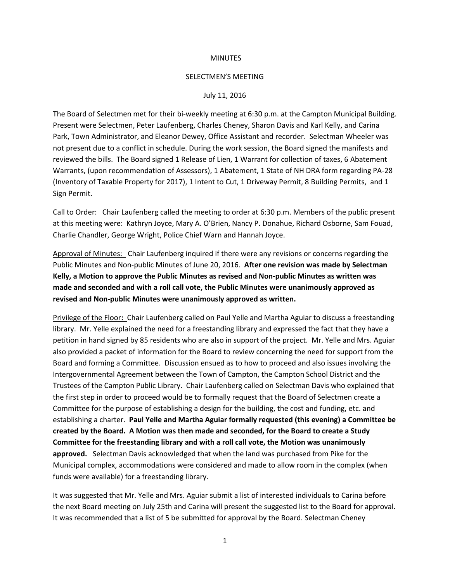### **MINUTES**

#### SELECTMEN'S MEETING

### July 11, 2016

The Board of Selectmen met for their bi-weekly meeting at 6:30 p.m. at the Campton Municipal Building. Present were Selectmen, Peter Laufenberg, Charles Cheney, Sharon Davis and Karl Kelly, and Carina Park, Town Administrator, and Eleanor Dewey, Office Assistant and recorder. Selectman Wheeler was not present due to a conflict in schedule. During the work session, the Board signed the manifests and reviewed the bills. The Board signed 1 Release of Lien, 1 Warrant for collection of taxes, 6 Abatement Warrants, (upon recommendation of Assessors), 1 Abatement, 1 State of NH DRA form regarding PA-28 (Inventory of Taxable Property for 2017), 1 Intent to Cut, 1 Driveway Permit, 8 Building Permits, and 1 Sign Permit.

Call to Order: Chair Laufenberg called the meeting to order at 6:30 p.m. Members of the public present at this meeting were: Kathryn Joyce, Mary A. O'Brien, Nancy P. Donahue, Richard Osborne, Sam Fouad, Charlie Chandler, George Wright, Police Chief Warn and Hannah Joyce.

Approval of Minutes: Chair Laufenberg inquired if there were any revisions or concerns regarding the Public Minutes and Non-public Minutes of June 20, 2016. **After one revision was made by Selectman Kelly, a Motion to approve the Public Minutes as revised and Non-public Minutes as written was made and seconded and with a roll call vote, the Public Minutes were unanimously approved as revised and Non-public Minutes were unanimously approved as written.** 

Privilege of the Floor**:** Chair Laufenberg called on Paul Yelle and Martha Aguiar to discuss a freestanding library. Mr. Yelle explained the need for a freestanding library and expressed the fact that they have a petition in hand signed by 85 residents who are also in support of the project. Mr. Yelle and Mrs. Aguiar also provided a packet of information for the Board to review concerning the need for support from the Board and forming a Committee. Discussion ensued as to how to proceed and also issues involving the Intergovernmental Agreement between the Town of Campton, the Campton School District and the Trustees of the Campton Public Library. Chair Laufenberg called on Selectman Davis who explained that the first step in order to proceed would be to formally request that the Board of Selectmen create a Committee for the purpose of establishing a design for the building, the cost and funding, etc. and establishing a charter. **Paul Yelle and Martha Aguiar formally requested (this evening) a Committee be created by the Board. A Motion was then made and seconded, for the Board to create a Study Committee for the freestanding library and with a roll call vote, the Motion was unanimously approved.** Selectman Davis acknowledged that when the land was purchased from Pike for the Municipal complex, accommodations were considered and made to allow room in the complex (when funds were available) for a freestanding library.

It was suggested that Mr. Yelle and Mrs. Aguiar submit a list of interested individuals to Carina before the next Board meeting on July 25th and Carina will present the suggested list to the Board for approval. It was recommended that a list of 5 be submitted for approval by the Board. Selectman Cheney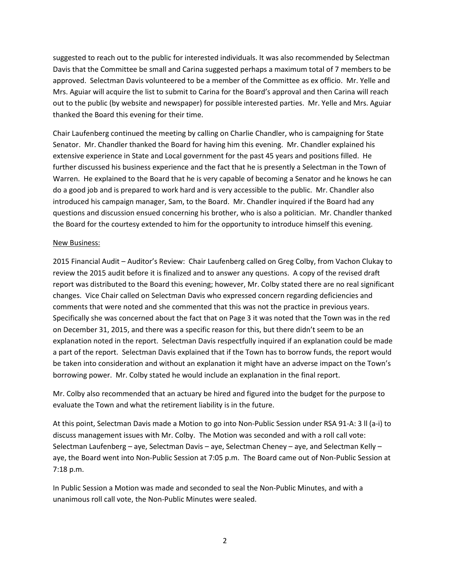suggested to reach out to the public for interested individuals. It was also recommended by Selectman Davis that the Committee be small and Carina suggested perhaps a maximum total of 7 members to be approved. Selectman Davis volunteered to be a member of the Committee as ex officio. Mr. Yelle and Mrs. Aguiar will acquire the list to submit to Carina for the Board's approval and then Carina will reach out to the public (by website and newspaper) for possible interested parties. Mr. Yelle and Mrs. Aguiar thanked the Board this evening for their time.

Chair Laufenberg continued the meeting by calling on Charlie Chandler, who is campaigning for State Senator. Mr. Chandler thanked the Board for having him this evening. Mr. Chandler explained his extensive experience in State and Local government for the past 45 years and positions filled. He further discussed his business experience and the fact that he is presently a Selectman in the Town of Warren. He explained to the Board that he is very capable of becoming a Senator and he knows he can do a good job and is prepared to work hard and is very accessible to the public. Mr. Chandler also introduced his campaign manager, Sam, to the Board. Mr. Chandler inquired if the Board had any questions and discussion ensued concerning his brother, who is also a politician. Mr. Chandler thanked the Board for the courtesy extended to him for the opportunity to introduce himself this evening.

# New Business:

2015 Financial Audit – Auditor's Review: Chair Laufenberg called on Greg Colby, from Vachon Clukay to review the 2015 audit before it is finalized and to answer any questions. A copy of the revised draft report was distributed to the Board this evening; however, Mr. Colby stated there are no real significant changes. Vice Chair called on Selectman Davis who expressed concern regarding deficiencies and comments that were noted and she commented that this was not the practice in previous years. Specifically she was concerned about the fact that on Page 3 it was noted that the Town was in the red on December 31, 2015, and there was a specific reason for this, but there didn't seem to be an explanation noted in the report. Selectman Davis respectfully inquired if an explanation could be made a part of the report. Selectman Davis explained that if the Town has to borrow funds, the report would be taken into consideration and without an explanation it might have an adverse impact on the Town's borrowing power. Mr. Colby stated he would include an explanation in the final report.

Mr. Colby also recommended that an actuary be hired and figured into the budget for the purpose to evaluate the Town and what the retirement liability is in the future.

At this point, Selectman Davis made a Motion to go into Non-Public Session under RSA 91-A: 3 ll (a-i) to discuss management issues with Mr. Colby. The Motion was seconded and with a roll call vote: Selectman Laufenberg – aye, Selectman Davis – aye, Selectman Cheney – aye, and Selectman Kelly – aye, the Board went into Non-Public Session at 7:05 p.m. The Board came out of Non-Public Session at 7:18 p.m.

In Public Session a Motion was made and seconded to seal the Non-Public Minutes, and with a unanimous roll call vote, the Non-Public Minutes were sealed.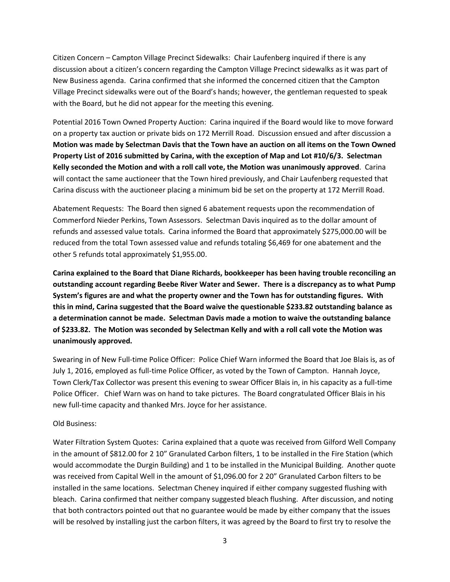Citizen Concern – Campton Village Precinct Sidewalks: Chair Laufenberg inquired if there is any discussion about a citizen's concern regarding the Campton Village Precinct sidewalks as it was part of New Business agenda. Carina confirmed that she informed the concerned citizen that the Campton Village Precinct sidewalks were out of the Board's hands; however, the gentleman requested to speak with the Board, but he did not appear for the meeting this evening.

Potential 2016 Town Owned Property Auction: Carina inquired if the Board would like to move forward on a property tax auction or private bids on 172 Merrill Road. Discussion ensued and after discussion a **Motion was made by Selectman Davis that the Town have an auction on all items on the Town Owned Property List of 2016 submitted by Carina, with the exception of Map and Lot #10/6/3. Selectman Kelly seconded the Motion and with a roll call vote, the Motion was unanimously approved**. Carina will contact the same auctioneer that the Town hired previously, and Chair Laufenberg requested that Carina discuss with the auctioneer placing a minimum bid be set on the property at 172 Merrill Road.

Abatement Requests: The Board then signed 6 abatement requests upon the recommendation of Commerford Nieder Perkins, Town Assessors. Selectman Davis inquired as to the dollar amount of refunds and assessed value totals. Carina informed the Board that approximately \$275,000.00 will be reduced from the total Town assessed value and refunds totaling \$6,469 for one abatement and the other 5 refunds total approximately \$1,955.00.

**Carina explained to the Board that Diane Richards, bookkeeper has been having trouble reconciling an outstanding account regarding Beebe River Water and Sewer. There is a discrepancy as to what Pump System's figures are and what the property owner and the Town has for outstanding figures. With this in mind, Carina suggested that the Board waive the questionable \$233.82 outstanding balance as a determination cannot be made. Selectman Davis made a motion to waive the outstanding balance of \$233.82. The Motion was seconded by Selectman Kelly and with a roll call vote the Motion was unanimously approved.** 

Swearing in of New Full-time Police Officer: Police Chief Warn informed the Board that Joe Blais is, as of July 1, 2016, employed as full-time Police Officer, as voted by the Town of Campton. Hannah Joyce, Town Clerk/Tax Collector was present this evening to swear Officer Blais in, in his capacity as a full-time Police Officer. Chief Warn was on hand to take pictures. The Board congratulated Officer Blais in his new full-time capacity and thanked Mrs. Joyce for her assistance.

# Old Business:

Water Filtration System Quotes: Carina explained that a quote was received from Gilford Well Company in the amount of \$812.00 for 2 10" Granulated Carbon filters, 1 to be installed in the Fire Station (which would accommodate the Durgin Building) and 1 to be installed in the Municipal Building. Another quote was received from Capital Well in the amount of \$1,096.00 for 2 20" Granulated Carbon filters to be installed in the same locations. Selectman Cheney inquired if either company suggested flushing with bleach. Carina confirmed that neither company suggested bleach flushing. After discussion, and noting that both contractors pointed out that no guarantee would be made by either company that the issues will be resolved by installing just the carbon filters, it was agreed by the Board to first try to resolve the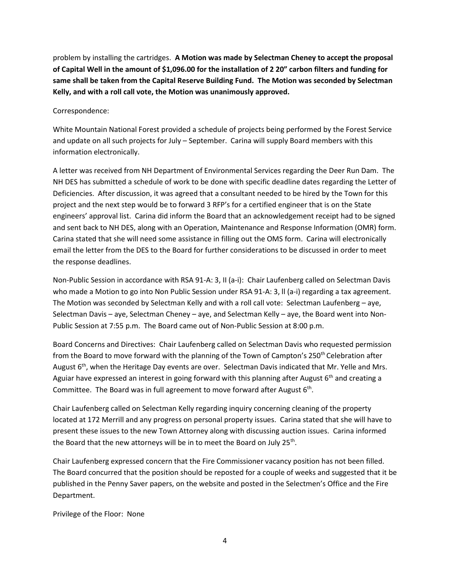problem by installing the cartridges. **A Motion was made by Selectman Cheney to accept the proposal of Capital Well in the amount of \$1,096.00 for the installation of 2 20" carbon filters and funding for same shall be taken from the Capital Reserve Building Fund. The Motion was seconded by Selectman Kelly, and with a roll call vote, the Motion was unanimously approved.**

Correspondence:

White Mountain National Forest provided a schedule of projects being performed by the Forest Service and update on all such projects for July – September. Carina will supply Board members with this information electronically.

A letter was received from NH Department of Environmental Services regarding the Deer Run Dam. The NH DES has submitted a schedule of work to be done with specific deadline dates regarding the Letter of Deficiencies. After discussion, it was agreed that a consultant needed to be hired by the Town for this project and the next step would be to forward 3 RFP's for a certified engineer that is on the State engineers' approval list. Carina did inform the Board that an acknowledgement receipt had to be signed and sent back to NH DES, along with an Operation, Maintenance and Response Information (OMR) form. Carina stated that she will need some assistance in filling out the OMS form. Carina will electronically email the letter from the DES to the Board for further considerations to be discussed in order to meet the response deadlines.

Non-Public Session in accordance with RSA 91-A: 3, II (a-i): Chair Laufenberg called on Selectman Davis who made a Motion to go into Non Public Session under RSA 91-A: 3, II (a-i) regarding a tax agreement. The Motion was seconded by Selectman Kelly and with a roll call vote: Selectman Laufenberg – aye, Selectman Davis – aye, Selectman Cheney – aye, and Selectman Kelly – aye, the Board went into Non-Public Session at 7:55 p.m. The Board came out of Non-Public Session at 8:00 p.m.

Board Concerns and Directives: Chair Laufenberg called on Selectman Davis who requested permission from the Board to move forward with the planning of the Town of Campton's 250<sup>th</sup> Celebration after August 6<sup>th</sup>, when the Heritage Day events are over. Selectman Davis indicated that Mr. Yelle and Mrs. Aguiar have expressed an interest in going forward with this planning after August  $6<sup>th</sup>$  and creating a Committee. The Board was in full agreement to move forward after August  $6<sup>th</sup>$ .

Chair Laufenberg called on Selectman Kelly regarding inquiry concerning cleaning of the property located at 172 Merrill and any progress on personal property issues. Carina stated that she will have to present these issues to the new Town Attorney along with discussing auction issues. Carina informed the Board that the new attorneys will be in to meet the Board on July 25<sup>th</sup>.

Chair Laufenberg expressed concern that the Fire Commissioner vacancy position has not been filled. The Board concurred that the position should be reposted for a couple of weeks and suggested that it be published in the Penny Saver papers, on the website and posted in the Selectmen's Office and the Fire Department.

Privilege of the Floor: None